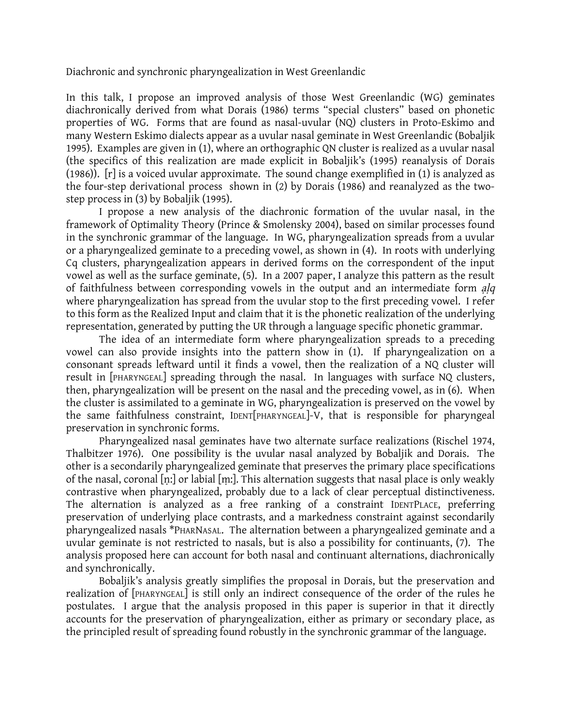Diachronic and synchronic pharyngealization in West Greenlandic

In this talk, I propose an improved analysis of those West Greenlandic (WG) geminates diachronically derived from what Dorais (1986) terms "special clusters" based on phonetic properties of WG. Forms that are found as nasal-uvular (NQ) clusters in Proto-Eskimo and many Western Eskimo dialects appear as a uvular nasal geminate in West Greenlandic (Bobaljik 1995). Examples are given in (1), where an orthographic QN cluster is realized as a uvular nasal (the specifics of this realization are made explicit in Bobaljik's (1995) reanalysis of Dorais (1986)). [r] is a voiced uvular approximate. The sound change exemplified in (1) is analyzed as the four-step derivational process shown in (2) by Dorais (1986) and reanalyzed as the twostep process in (3) by Bobaljik (1995).

I propose a new analysis of the diachronic formation of the uvular nasal, in the framework of Optimality Theory (Prince & Smolensky 2004), based on similar processes found in the synchronic grammar of the language. In WG, pharyngealization spreads from a uvular or a pharyngealized geminate to a preceding vowel, as shown in (4). In roots with underlying Cq clusters, pharyngealization appears in derived forms on the correspondent of the input vowel as well as the surface geminate, (5). In a 2007 paper, I analyze this pattern as the result of faithfulness between corresponding vowels in the output and an intermediate form alg where pharyngealization has spread from the uvular stop to the first preceding vowel. I refer to this form as the Realized Input and claim that it is the phonetic realization of the underlying representation, generated by putting the UR through a language specific phonetic grammar.

The idea of an intermediate form where pharyngealization spreads to a preceding vowel can also provide insights into the pattern show in (1). If pharyngealization on a consonant spreads leftward until it finds a vowel, then the realization of a NQ cluster will result in [PHARYNGEAL] spreading through the nasal. In languages with surface NQ clusters, then, pharyngealization will be present on the nasal and the preceding vowel, as in (6). When the cluster is assimilated to a geminate in WG, pharyngealization is preserved on the vowel by the same faithfulness constraint, IDENT[PHARYNGEAL]-V, that is responsible for pharyngeal preservation in synchronic forms.

Pharyngealized nasal geminates have two alternate surface realizations (Rischel 1974, Thalbitzer 1976). One possibility is the uvular nasal analyzed by Bobaljik and Dorais. The other is a secondarily pharyngealized geminate that preserves the primary place specifications of the nasal, coronal [ṇ:] or labial [ṃ:]. This alternation suggests that nasal place is only weakly contrastive when pharyngealized, probably due to a lack of clear perceptual distinctiveness. The alternation is analyzed as a free ranking of a constraint IDENTPLACE, preferring preservation of underlying place contrasts, and a markedness constraint against secondarily pharyngealized nasals \*PHARNASAL. The alternation between a pharyngealized geminate and a uvular geminate is not restricted to nasals, but is also a possibility for continuants, (7). The analysis proposed here can account for both nasal and continuant alternations, diachronically and synchronically.

Bobaljik's analysis greatly simplifies the proposal in Dorais, but the preservation and realization of [PHARYNGEAL] is still only an indirect consequence of the order of the rules he postulates. I argue that the analysis proposed in this paper is superior in that it directly accounts for the preservation of pharyngealization, either as primary or secondary place, as the principled result of spreading found robustly in the synchronic grammar of the language.